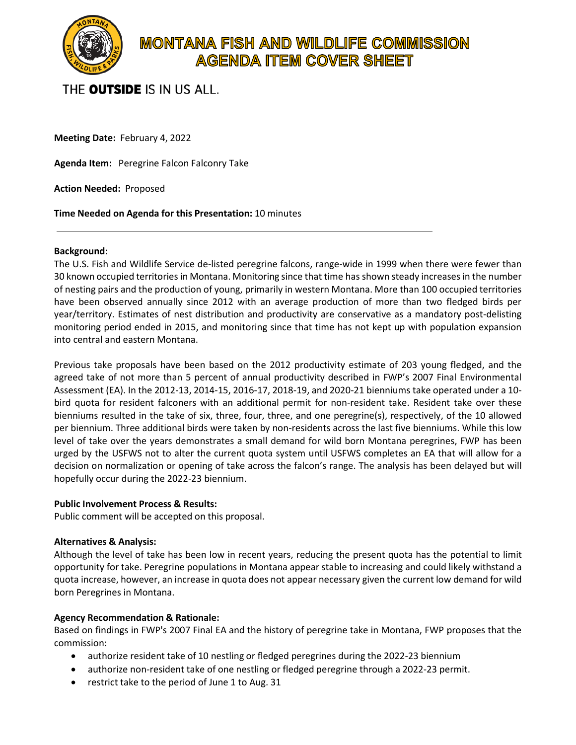

# **MONTANA FISH AND WILDLIFE COMMISSION AGENDA ITEM COVER SHEET**

# THE **OUTSIDE** IS IN US ALL.

**Meeting Date:** February 4, 2022

**Agenda Item:** Peregrine Falcon Falconry Take

**Action Needed:** Proposed

**Time Needed on Agenda for this Presentation:** 10 minutes

#### **Background**:

The U.S. Fish and Wildlife Service de-listed peregrine falcons, range-wide in 1999 when there were fewer than 30 known occupied territories in Montana. Monitoring since that time has shown steady increasesin the number of nesting pairs and the production of young, primarily in western Montana. More than 100 occupied territories have been observed annually since 2012 with an average production of more than two fledged birds per year/territory. Estimates of nest distribution and productivity are conservative as a mandatory post-delisting monitoring period ended in 2015, and monitoring since that time has not kept up with population expansion into central and eastern Montana.

Previous take proposals have been based on the 2012 productivity estimate of 203 young fledged, and the agreed take of not more than 5 percent of annual productivity described in FWP's 2007 Final Environmental Assessment (EA). In the 2012-13, 2014-15, 2016-17, 2018-19, and 2020-21 bienniums take operated under a 10 bird quota for resident falconers with an additional permit for non-resident take. Resident take over these bienniums resulted in the take of six, three, four, three, and one peregrine(s), respectively, of the 10 allowed per biennium. Three additional birds were taken by non-residents across the last five bienniums. While this low level of take over the years demonstrates a small demand for wild born Montana peregrines, FWP has been urged by the USFWS not to alter the current quota system until USFWS completes an EA that will allow for a decision on normalization or opening of take across the falcon's range. The analysis has been delayed but will hopefully occur during the 2022-23 biennium.

#### **Public Involvement Process & Results:**

Public comment will be accepted on this proposal.

## **Alternatives & Analysis:**

Although the level of take has been low in recent years, reducing the present quota has the potential to limit opportunity for take. Peregrine populations in Montana appear stable to increasing and could likely withstand a quota increase, however, an increase in quota does not appear necessary given the current low demand for wild born Peregrines in Montana.

## **Agency Recommendation & Rationale:**

Based on findings in FWP's 2007 Final EA and the history of peregrine take in Montana, FWP proposes that the commission:

- authorize resident take of 10 nestling or fledged peregrines during the 2022-23 biennium
- authorize non-resident take of one nestling or fledged peregrine through a 2022-23 permit.
- restrict take to the period of June 1 to Aug. 31